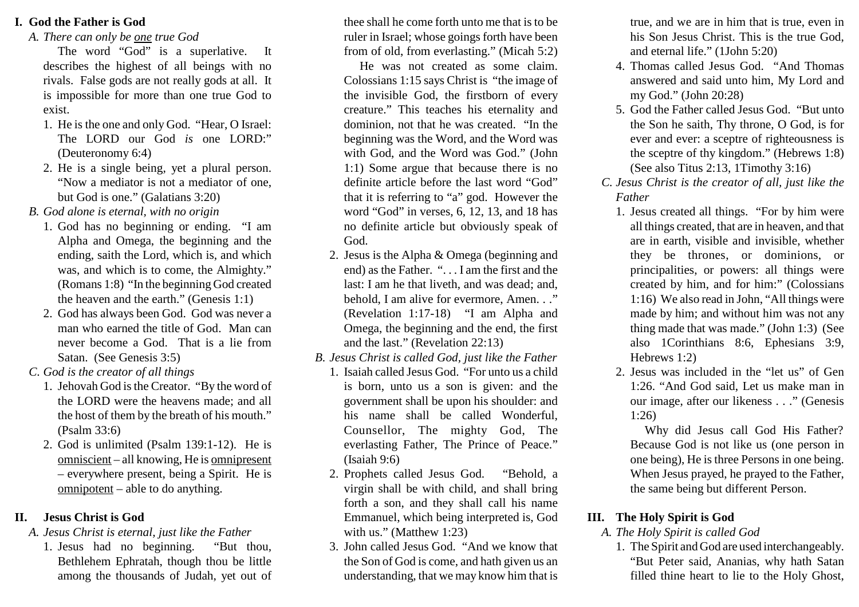### **I. God the Father is God**

*A. There can only be one true God*

 The word "God" is a superlative. It describes the highest of all beings with no rivals. False gods are not really gods at all. It is impossible for more than one true God toexist.

- 1. He is the one and only God. "Hear, O Israel: The LORD our God *is* one LORD:"(Deuteronomy 6:4)
- 2. He is a single being, yet a plural person. "Now a mediator is not a mediator of one,but God is one." (Galatians 3:20)
- *B. God alone is eternal, with no origin*
	- 1. God has no beginning or ending. "I am Alpha and Omega, the beginning and the ending, saith the Lord, which is, and which was, and which is to come, the Almighty." (Romans 1:8) "In the beginning God createdthe heaven and the earth." (Genesis 1:1)
	- 2. God has always been God. God was never a man who earned the title of God. Man can never become a God. That is a lie fromSatan. (See Genesis 3:5)
- *C. God is the creator of all things*
	- 1. Jehovah God is the Creator. "By the word of the LORD were the heavens made; and allthe host of them by the breath of his mouth."(Psalm 33:6)
	- 2. God is unlimited (Psalm 139:1-12). He isomniscient – all knowing, He is **omnipresent**  – everywhere present, being a Spirit. He isomnipotent – able to do anything.

## **II. Jesus Christ is God**

### *A. Jesus Christ is eternal, just like the Father*

"But thou, 1. Jesus had no beginning. Bethlehem Ephratah, though thou be littleamong the thousands of Judah, yet out of thee shall he come forth unto me that is to be ruler in Israel; whose goings forth have beenfrom of old, from everlasting." (Micah 5:2)

 He was not created as some claim.Colossians 1:15 says Christ is "the image of the invisible God, the firstborn of every creature." This teaches his eternality and dominion, not that he was created. "In the beginning was the Word, and the Word was with God, and the Word was God." (John 1:1) Some argue that because there is no definite article before the last word "God" that it is referring to "a" god. However the word "God" in verses, 6, 12, 13, and 18 has no definite article but obviously speak ofGod.

- 2. Jesus is the Alpha & Omega (beginning and end) as the Father. ". . . I am the first and the last: I am he that liveth, and was dead; and,behold, I am alive for evermore, Amen. . ." (Revelation 1:17-18) "I am Alpha and Omega, the beginning and the end, the firstand the last." (Revelation 22:13)
- *B. Jesus Christ is called God, just like the Father*
	- 1. Isaiah called Jesus God. "For unto us a child is born, unto us a son is given: and the government shall be upon his shoulder: and his name shall be called Wonderful,Counsellor, The mighty God, The everlasting Father, The Prince of Peace."(Isaiah 9:6)
	- 2. Prophets called Jesus God. "Behold, a virgin shall be with child, and shall bring forth a son, and they shall call his name Emmanuel, which being interpreted is, Godwith us." (Matthew 1:23)
	- 3. John called Jesus God. "And we know that the Son of God is come, and hath given us anunderstanding, that we may know him that is

true, and we are in him that is true, even in his Son Jesus Christ. This is the true God,and eternal life." (1John 5:20)

- 4. Thomas called Jesus God. "And Thomas answered and said unto him, My Lord andmy God." (John 20:28)
- 5. God the Father called Jesus God. "But unto the Son he saith, Thy throne, O God, is for ever and ever: a sceptre of righteousness is the sceptre of thy kingdom." (Hebrews 1:8)(See also Titus 2:13, 1Timothy 3:16)
- *C. Jesus Christ is the creator of all, just like theFather*
	- 1. Jesus created all things. "For by him were all things created, that are in heaven, and thatare in earth, visible and invisible, whether they be thrones, or dominions, or principalities, or powers: all things were created by him, and for him:" (Colossians 1:16) We also read in John, "All things were made by him; and without him was not any thing made that was made." (John 1:3) (See also 1Corinthians 8:6, Ephesians 3:9,Hebrews 1:2)
	- 2. Jesus was included in the "let us" of Gen 1:26. "And God said, Let us make man in our image, after our likeness . . ." (Genesis1:26)

 Why did Jesus call God His Father? Because God is not like us (one person in one being), He is three Persons in one being. When Jesus prayed, he prayed to the Father,the same being but different Person.

# **III. The Holy Spirit is God**

## *A. The Holy Spirit is called God*

 1. The Spirit and God are used interchangeably. "But Peter said, Ananias, why hath Satanfilled thine heart to lie to the Holy Ghost,